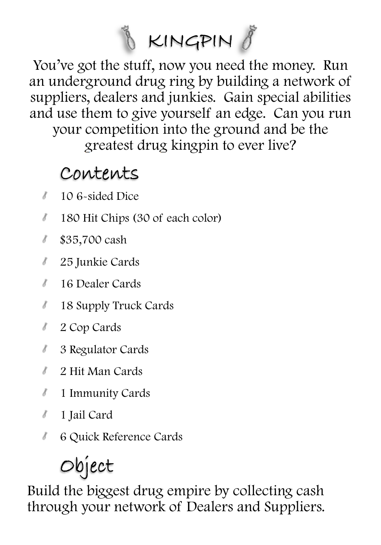

You've got the stuff, now you need the money. Run an underground drug ring by building a network of suppliers, dealers and junkies. Gain special abilities and use them to give yourself an edge. Can you run your competition into the ground and be the greatest drug kingpin to ever live?

### Contents

- 10 6-sided Dice
- 180 Hit Chips (30 of each color)
- \$35,700 cash
- 25 Junkie Cards
- 16 Dealer Cards
- 18 Supply Truck Cards
- 2 Cop Cards
- 3 Regulator Cards
- 2 Hit Man Cards
- 1 Immunity Cards  $\lambda$
- 1 Jail Card
- 6 Quick Reference Cards

# Object

Build the biggest drug empire by collecting cash through your network of Dealers and Suppliers.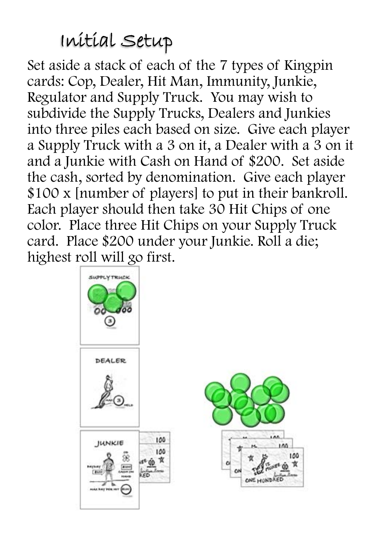## Initial Setup

Set aside a stack of each of the 7 types of Kingpin cards: Cop, Dealer, Hit Man, Immunity, Junkie, Regulator and Supply Truck. You may wish to subdivide the Supply Trucks, Dealers and Junkies into three piles each based on size. Give each player a Supply Truck with a 3 on it, a Dealer with a 3 on it and a Junkie with Cash on Hand of \$200. Set aside the cash, sorted by denomination. Give each player \$100 x [number of players] to put in their bankroll. Each player should then take 30 Hit Chips of one color. Place three Hit Chips on your Supply Truck card. Place \$200 under your Junkie. Roll a die; highest roll will go first.

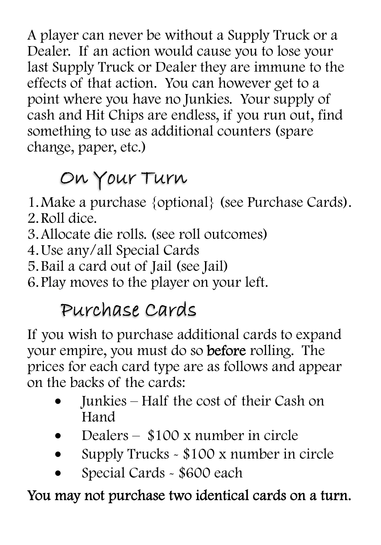A player can never be without a Supply Truck or a Dealer. If an action would cause you to lose your last Supply Truck or Dealer they are immune to the effects of that action. You can however get to a point where you have no Junkies. Your supply of cash and Hit Chips are endless, if you run out, find something to use as additional counters (spare change, paper, etc.)

## On Your Turn

1.Make a purchase {optional} (see Purchase Cards). 2.Roll dice.

3.Allocate die rolls. (see roll outcomes)

4.Use any/all Special Cards

5.Bail a card out of Jail (see Jail)

6.Play moves to the player on your left.

## Purchase Cards

If you wish to purchase additional cards to expand your empire, you must do so **before** rolling. The prices for each card type are as follows and appear on the backs of the cards:

- Junkies Half the cost of their Cash on **Hand**
- Dealers \$100 x number in circle
- Supply Trucks \$100 x number in circle
- Special Cards \$600 each

#### You may not purchase two identical cards on a turn.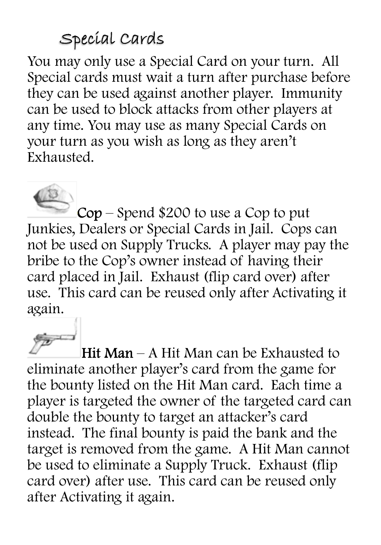### Special Cards

You may only use a Special Card on your turn. All Special cards must wait a turn after purchase before they can be used against another player. Immunity can be used to block attacks from other players at any time. You may use as many Special Cards on your turn as you wish as long as they aren't Exhausted.

Cop – Spend \$200 to use a Cop to put Junkies, Dealers or Special Cards in Jail. Cops can not be used on Supply Trucks. A player may pay the bribe to the Cop's owner instead of having their card placed in Jail. Exhaust (flip card over) after use. This card can be reused only after Activating it again.

Hit Man – A Hit Man can be Exhausted to eliminate another player's card from the game for the bounty listed on the Hit Man card. Each time a player is targeted the owner of the targeted card can double the bounty to target an attacker's card instead. The final bounty is paid the bank and the target is removed from the game. A Hit Man cannot be used to eliminate a Supply Truck. Exhaust (flip card over) after use. This card can be reused only after Activating it again.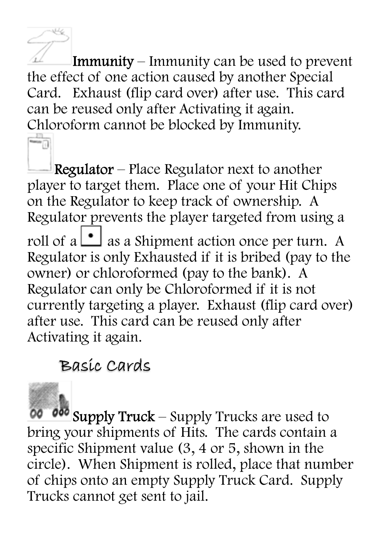Immunity – Immunity can be used to prevent the effect of one action caused by another Special Card. Exhaust (flip card over) after use. This card can be reused only after Activating it again. Chloroform cannot be blocked by Immunity.

Regulator – Place Regulator next to another player to target them. Place one of your Hit Chips on the Regulator to keep track of ownership. A Regulator prevents the player targeted from using a roll of a  $\bullet$  as a Shipment action once per turn. A Regulator is only Exhausted if it is bribed (pay to the owner) or chloroformed (pay to the bank). A Regulator can only be Chloroformed if it is not currently targeting a player. Exhaust (flip card over) after use. This card can be reused only after Activating it again.

### Basic Cards

00 000 Supply Truck – Supply Trucks are used to bring your shipments of Hits. The cards contain a specific Shipment value (3, 4 or 5, shown in the circle). When Shipment is rolled, place that number of chips onto an empty Supply Truck Card. Supply Trucks cannot get sent to jail.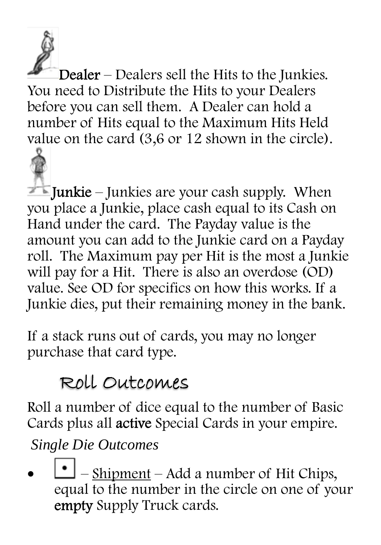

Dealer – Dealers sell the Hits to the Junkies. You need to Distribute the Hits to your Dealers before you can sell them. A Dealer can hold a number of Hits equal to the Maximum Hits Held value on the card (3,6 or 12 shown in the circle).

**Junkie** – Junkies are your cash supply. When you place a Junkie, place cash equal to its Cash on Hand under the card. The Payday value is the amount you can add to the Junkie card on a Payday roll. The Maximum pay per Hit is the most a Junkie will pay for a Hit. There is also an overdose (OD) value. See OD for specifics on how this works. If a Junkie dies, put their remaining money in the bank.

If a stack runs out of cards, you may no longer purchase that card type.

## Roll Outcomes

Roll a number of dice equal to the number of Basic Cards plus all active Special Cards in your empire.

*Single Die Outcomes* 

 – Shipment – Add a number of Hit Chips, equal to the number in the circle on one of your empty Supply Truck cards.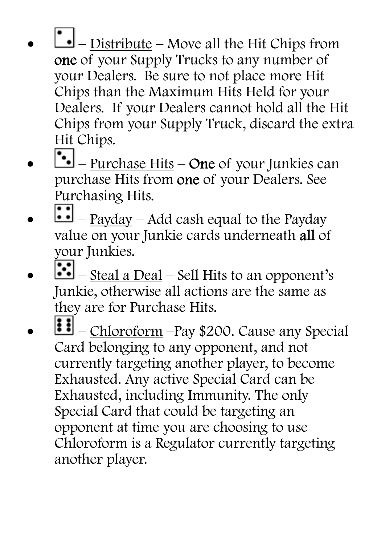- Distribute Move all the Hit Chips from one of your Supply Trucks to any number of your Dealers. Be sure to not place more Hit Chips than the Maximum Hits Held for your Dealers. If your Dealers cannot hold all the Hit Chips from your Supply Truck, discard the extra Hit Chips.
- $\bullet$  Purchase Hits One of your Junkies can purchase Hits from one of your Dealers. See Purchasing Hits.
- $\boxed{\cdot}$   $\frac{Payday Add cash equal to the Payday}{1.4}$ value on your Junkie cards underneath all of your Junkies.
- $\boxed{\cdot \cdot }$  Steal a Deal Sell Hits to an opponent's Junkie, otherwise all actions are the same as they are for Purchase Hits.
- $\boxed{\vdots}$  Chloroform –Pay \$200. Cause any Special Card belonging to any opponent, and not currently targeting another player, to become Exhausted. Any active Special Card can be Exhausted, including Immunity. The only Special Card that could be targeting an opponent at time you are choosing to use Chloroform is a Regulator currently targeting another player.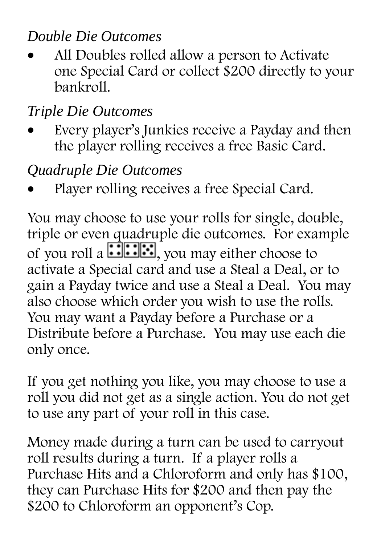#### *Double Die Outcomes*

 All Doubles rolled allow a person to Activate one Special Card or collect \$200 directly to your bankroll.

#### *Triple Die Outcomes*

 Every player's Junkies receive a Payday and then the player rolling receives a free Basic Card.

#### *Quadruple Die Outcomes*

Player rolling receives a free Special Card.

You may choose to use your rolls for single, double, triple or even quadruple die outcomes. For example of you roll a  $\therefore$  you may either choose to activate a Special card and use a Steal a Deal, or to gain a Payday twice and use a Steal a Deal. You may also choose which order you wish to use the rolls. You may want a Payday before a Purchase or a Distribute before a Purchase. You may use each die only once.

If you get nothing you like, you may choose to use a roll you did not get as a single action. You do not get to use any part of your roll in this case.

Money made during a turn can be used to carryout roll results during a turn. If a player rolls a Purchase Hits and a Chloroform and only has \$100, they can Purchase Hits for \$200 and then pay the \$200 to Chloroform an opponent's Cop.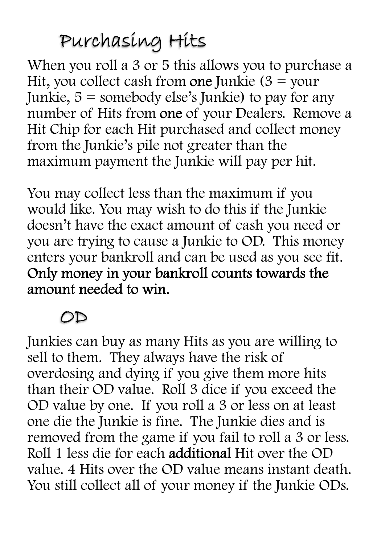## Purchasing Hits

When you roll a 3 or 5 this allows you to purchase a Hit, you collect cash from one Junkie  $(3 =$ your Junkie,  $5 =$  somebody else's Junkie) to pay for any number of Hits from one of your Dealers. Remove a Hit Chip for each Hit purchased and collect money from the Junkie's pile not greater than the maximum payment the Junkie will pay per hit.

You may collect less than the maximum if you would like. You may wish to do this if the Junkie doesn't have the exact amount of cash you need or you are trying to cause a Junkie to OD. This money enters your bankroll and can be used as you see fit. Only money in your bankroll counts towards the amount needed to win.

### OD

Junkies can buy as many Hits as you are willing to sell to them. They always have the risk of overdosing and dying if you give them more hits than their OD value. Roll 3 dice if you exceed the OD value by one. If you roll a 3 or less on at least one die the Junkie is fine. The Junkie dies and is removed from the game if you fail to roll a 3 or less. Roll 1 less die for each additional Hit over the OD value. 4 Hits over the OD value means instant death. You still collect all of your money if the Junkie ODs.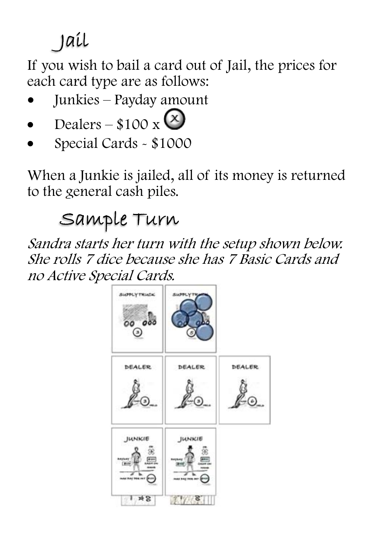# Jail

If you wish to bail a card out of Jail, the prices for each card type are as follows:

- Junkies Payday amount
- Dealers  $$100 \times$   $\odot$
- Special Cards \$1000

When a Junkie is jailed, all of its money is returned to the general cash piles.

## Sample Turn

Sandra starts her turn with the setup shown below. She rolls 7 dice because she has 7 Basic Cards and no Active Special Cards.

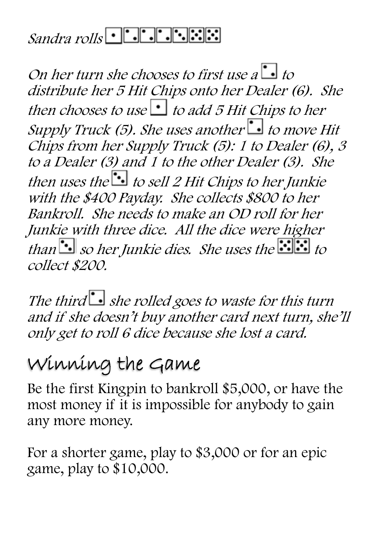### Sandra rolls  $\cdot \cdot \cdot \cdot$ .

On her turn she chooses to first use  $a \stackrel{\bullet}{\longrightarrow}$  to distribute her 5 Hit Chips onto her Dealer (6). She then chooses to use  $\bigcup$  to add 5 Hit Chips to her Supply Truck (5). She uses another  $\Box$  to move Hit Chips from her Supply Truck (5): 1 to Dealer (6), 3 to a Dealer (3) and 1 to the other Dealer (3). She then uses the  $t \cdot d$  to sell 2 Hit Chips to her Junkie with the \$400 Payday. She collects \$800 to her Bankroll. She needs to make an OD roll for her Junkie with three dice. All the dice were higher than  $\ddot{\cdot}$  so her Junkie dies. She uses the  $\ddot{\cdot}$  to collect \$200.

The third  $\ddot{\bullet}$  she rolled goes to waste for this turn and if she doesn't buy another card next turn, she'll only get to roll 6 dice because she lost a card.

## Winning the Game

Be the first Kingpin to bankroll \$5,000, or have the most money if it is impossible for anybody to gain any more money.

For a shorter game, play to \$3,000 or for an epic game, play to \$10,000.